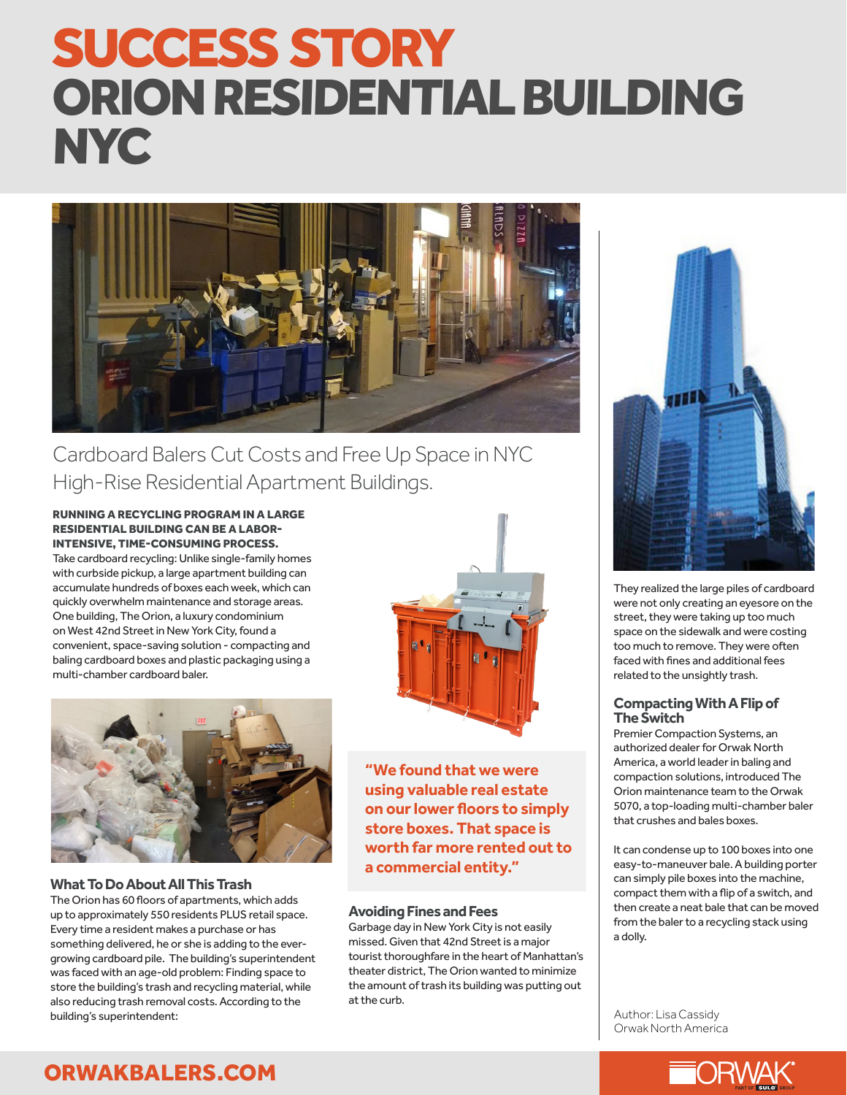# SUCCESS STORY ORION RESIDENTIAL BUILDING **NYC**



Cardboard Balers Cut Costs and Free Up Space in NYC High-Rise Residential Apartment Buildings.

#### RUNNING A RECYCLING PROGRAM IN A LARGE RESIDENTIAL BUILDING CAN BE A LABOR-INTENSIVE, TIME-CONSUMING PROCESS.

Take cardboard recycling: Unlike single-family homes with curbside pickup, a large apartment building can accumulate hundreds of boxes each week, which can quickly overwhelm maintenance and storage areas. One building, The Orion, a luxury condominium on West 42nd Street in New York City, found a convenient, space-saving solution - compacting and baling cardboard boxes and plastic packaging using a multi-chamber cardboard baler.



**What To Do About All This Trash**

The Orion has 60 floors of apartments, which adds up to approximately 550 residents PLUS retail space. Every time a resident makes a purchase or has something delivered, he or she is adding to the evergrowing cardboard pile. The building's superintendent was faced with an age-old problem: Finding space to store the building's trash and recycling material, while also reducing trash removal costs. According to the building's superintendent:



**"We found that we were using valuable real estate on our lower floors to simply store boxes. That space is worth far more rented out to a commercial entity."** 

#### **Avoiding Fines and Fees**

Garbage day in New York City is not easily missed. Given that 42nd Street is a major tourist thoroughfare in the heart of Manhattan's theater district, The Orion wanted to minimize the amount of trash its building was putting out at the curb.



They realized the large piles of cardboard were not only creating an eyesore on the street, they were taking up too much space on the sidewalk and were costing too much to remove. They were often faced with fines and additional fees related to the unsightly trash.

#### **Compacting With A Flip of The Switch**

Premier Compaction Systems, an authorized dealer for Orwak North America, a world leader in baling and compaction solutions, introduced The Orion maintenance team to the Orwak 5070, a top-loading multi-chamber baler that crushes and bales boxes.

It can condense up to 100 boxes into one easy-to-maneuver bale. A building porter can simply pile boxes into the machine, compact them with a flip of a switch, and then create a neat bale that can be moved from the baler to a recycling stack using a dolly.

Author: Lisa Cassidy Orwak North America



## ORWAKBALERS.COM